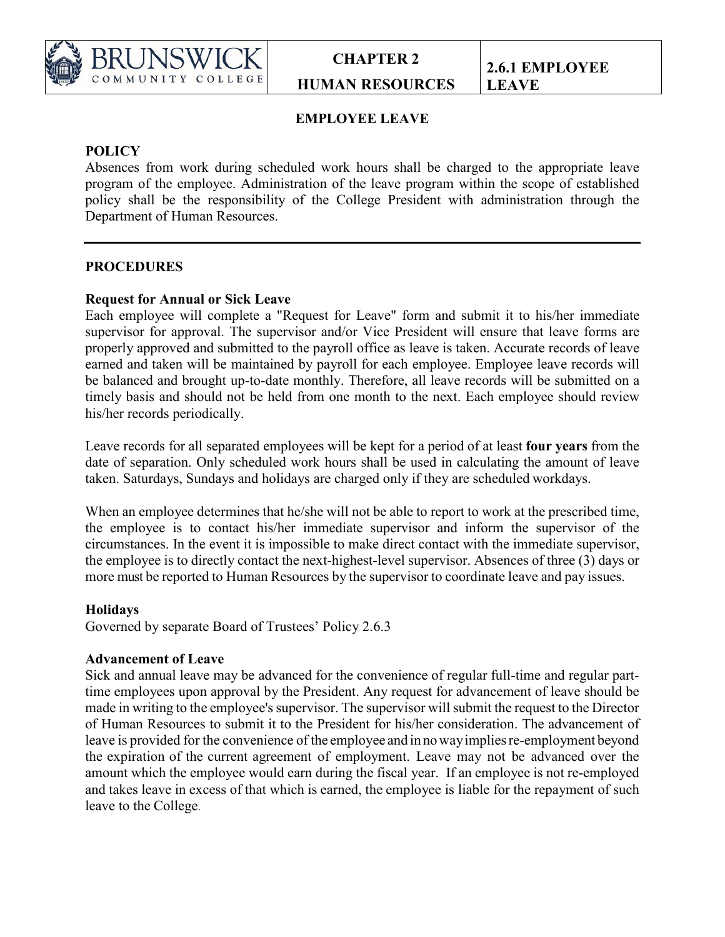

# **EMPLOYEE LEAVE**

# **POLICY**

Absences from work during scheduled work hours shall be charged to the appropriate leave program of the employee. Administration of the leave program within the scope of established policy shall be the responsibility of the College President with administration through the Department of Human Resources.

# **PROCEDURES**

#### **Request for Annual or Sick Leave**

Each employee will complete a "Request for Leave" form and submit it to his/her immediate supervisor for approval. The supervisor and/or Vice President will ensure that leave forms are properly approved and submitted to the payroll office as leave is taken. Accurate records of leave earned and taken will be maintained by payroll for each employee. Employee leave records will be balanced and brought up-to-date monthly. Therefore, all leave records will be submitted on a timely basis and should not be held from one month to the next. Each employee should review his/her records periodically.

Leave records for all separated employees will be kept for a period of at least **four years** from the date of separation. Only scheduled work hours shall be used in calculating the amount of leave taken. Saturdays, Sundays and holidays are charged only if they are scheduled workdays.

When an employee determines that he/she will not be able to report to work at the prescribed time, the employee is to contact his/her immediate supervisor and inform the supervisor of the circumstances. In the event it is impossible to make direct contact with the immediate supervisor, the employee is to directly contact the next-highest-level supervisor. Absences of three (3) days or more must be reported to Human Resources by the supervisor to coordinate leave and pay issues.

#### **Holidays**

Governed by separate Board of Trustees' Policy 2.6.3

#### **Advancement of Leave**

Sick and annual leave may be advanced for the convenience of regular full-time and regular parttime employees upon approval by the President. Any request for advancement of leave should be made in writing to the employee's supervisor. The supervisor will submit the request to the Director of Human Resources to submit it to the President for his/her consideration. The advancement of leave is provided for the convenience of the employee and in nowayimpliesre-employment beyond the expiration of the current agreement of employment. Leave may not be advanced over the amount which the employee would earn during the fiscal year. If an employee is not re-employed and takes leave in excess of that which is earned, the employee is liable for the repayment of such leave to the College.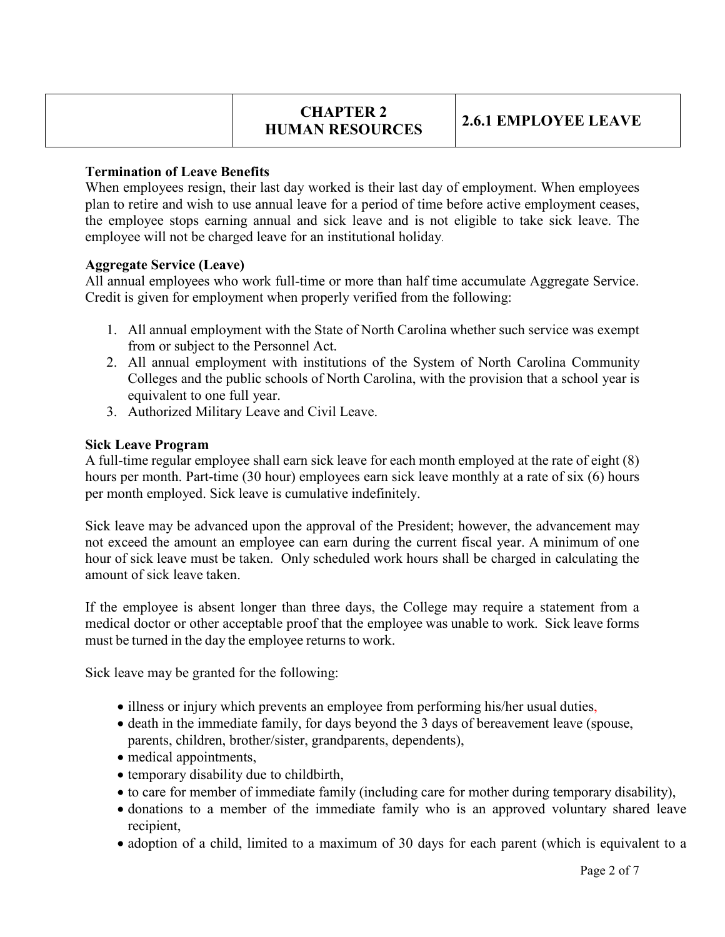# **CHAPTER 2 HUMAN RESOURCES 2.6.1 EMPLOYEE LEAVE**

# **Termination of Leave Benefits**

When employees resign, their last day worked is their last day of employment. When employees plan to retire and wish to use annual leave for a period of time before active employment ceases, the employee stops earning annual and sick leave and is not eligible to take sick leave. The employee will not be charged leave for an institutional holiday.

#### **Aggregate Service (Leave)**

All annual employees who work full-time or more than half time accumulate Aggregate Service. Credit is given for employment when properly verified from the following:

- 1. All annual employment with the State of North Carolina whether such service was exempt from or subject to the Personnel Act.
- 2. All annual employment with institutions of the System of North Carolina Community Colleges and the public schools of North Carolina, with the provision that a school year is equivalent to one full year.
- 3. Authorized Military Leave and Civil Leave.

# **Sick Leave Program**

A full-time regular employee shall earn sick leave for each month employed at the rate of eight (8) hours per month. Part-time (30 hour) employees earn sick leave monthly at a rate of six (6) hours per month employed. Sick leave is cumulative indefinitely.

Sick leave may be advanced upon the approval of the President; however, the advancement may not exceed the amount an employee can earn during the current fiscal year. A minimum of one hour of sick leave must be taken. Only scheduled work hours shall be charged in calculating the amount of sick leave taken.

If the employee is absent longer than three days, the College may require a statement from a medical doctor or other acceptable proof that the employee was unable to work. Sick leave forms must be turned in the day the employee returns to work.

Sick leave may be granted for the following:

- illness or injury which prevents an employee from performing his/her usual duties,
- death in the immediate family, for days beyond the 3 days of bereavement leave (spouse, parents, children, brother/sister, grandparents, dependents),
- medical appointments,
- temporary disability due to childbirth,
- to care for member of immediate family (including care for mother during temporary disability),
- donations to a member of the immediate family who is an approved voluntary shared leave recipient,
- adoption of a child, limited to a maximum of 30 days for each parent (which is equivalent to a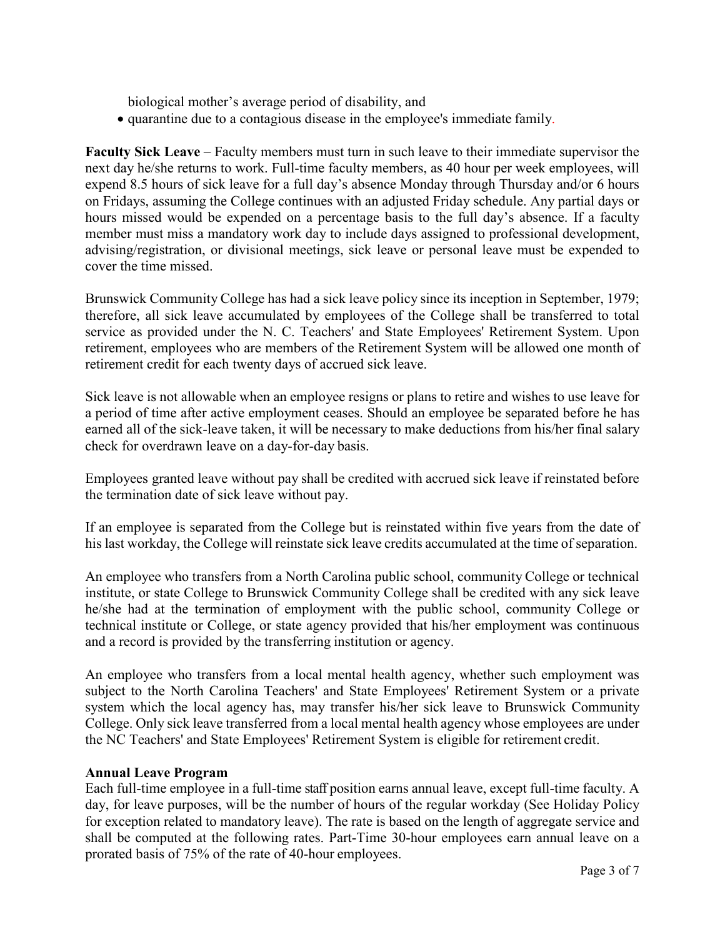biological mother's average period of disability, and

• quarantine due to a contagious disease in the employee's immediate family.

**Faculty Sick Leave** – Faculty members must turn in such leave to their immediate supervisor the next day he/she returns to work. Full-time faculty members, as 40 hour per week employees, will expend 8.5 hours of sick leave for a full day's absence Monday through Thursday and/or 6 hours on Fridays, assuming the College continues with an adjusted Friday schedule. Any partial days or hours missed would be expended on a percentage basis to the full day's absence. If a faculty member must miss a mandatory work day to include days assigned to professional development, advising/registration, or divisional meetings, sick leave or personal leave must be expended to cover the time missed.

Brunswick Community College has had a sick leave policy since its inception in September, 1979; therefore, all sick leave accumulated by employees of the College shall be transferred to total service as provided under the N. C. Teachers' and State Employees' Retirement System. Upon retirement, employees who are members of the Retirement System will be allowed one month of retirement credit for each twenty days of accrued sick leave.

Sick leave is not allowable when an employee resigns or plans to retire and wishes to use leave for a period of time after active employment ceases. Should an employee be separated before he has earned all of the sick-leave taken, it will be necessary to make deductions from his/her final salary check for overdrawn leave on a day-for-day basis.

Employees granted leave without pay shall be credited with accrued sick leave if reinstated before the termination date of sick leave without pay.

If an employee is separated from the College but is reinstated within five years from the date of his last workday, the College will reinstate sick leave credits accumulated at the time of separation.

An employee who transfers from a North Carolina public school, community College or technical institute, or state College to Brunswick Community College shall be credited with any sick leave he/she had at the termination of employment with the public school, community College or technical institute or College, or state agency provided that his/her employment was continuous and a record is provided by the transferring institution or agency.

An employee who transfers from a local mental health agency, whether such employment was subject to the North Carolina Teachers' and State Employees' Retirement System or a private system which the local agency has, may transfer his/her sick leave to Brunswick Community College. Only sick leave transferred from a local mental health agency whose employees are under the NC Teachers' and State Employees' Retirement System is eligible for retirement credit.

#### **Annual Leave Program**

Each full-time employee in a full-time staff position earns annual leave, except full-time faculty. A day, for leave purposes, will be the number of hours of the regular workday (See Holiday Policy for exception related to mandatory leave). The rate is based on the length of aggregate service and shall be computed at the following rates. Part-Time 30-hour employees earn annual leave on a prorated basis of 75% of the rate of 40-hour employees.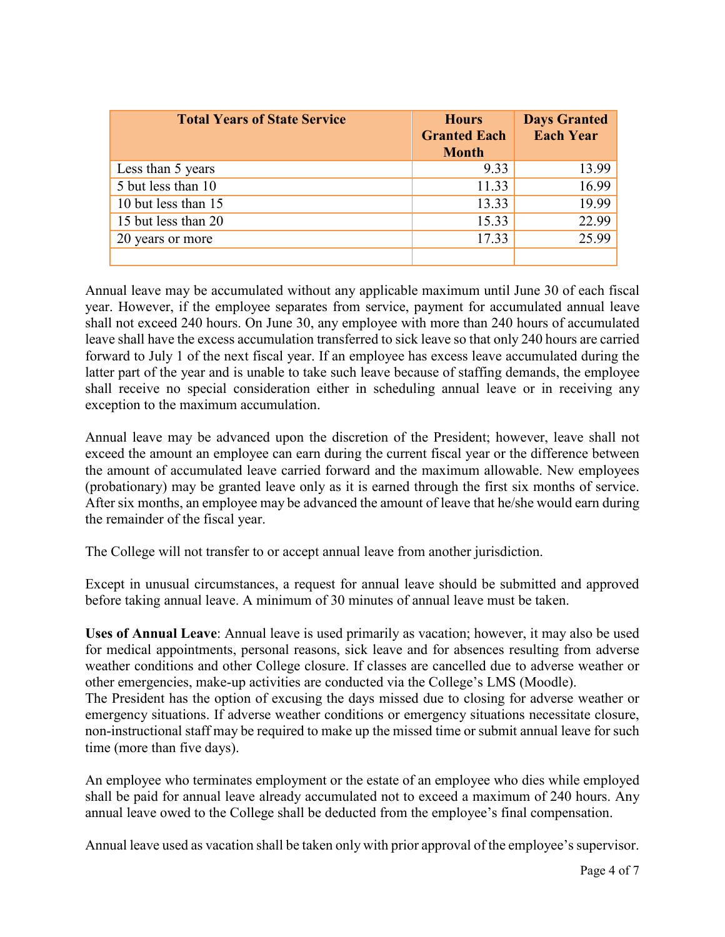| <b>Total Years of State Service</b> | <b>Hours</b><br><b>Granted Each</b><br><b>Month</b> | <b>Days Granted</b><br><b>Each Year</b> |
|-------------------------------------|-----------------------------------------------------|-----------------------------------------|
| Less than 5 years                   | 9.33                                                | 13.99                                   |
| 5 but less than 10                  | 11.33                                               | 16.99                                   |
| 10 but less than 15                 | 13.33                                               | 19.99                                   |
| 15 but less than 20                 | 15.33                                               | 22.99                                   |
| 20 years or more                    | 17.33                                               | 25.99                                   |
|                                     |                                                     |                                         |

Annual leave may be accumulated without any applicable maximum until June 30 of each fiscal year. However, if the employee separates from service, payment for accumulated annual leave shall not exceed 240 hours. On June 30, any employee with more than 240 hours of accumulated leave shall have the excess accumulation transferred to sick leave so that only 240 hours are carried forward to July 1 of the next fiscal year. If an employee has excess leave accumulated during the latter part of the year and is unable to take such leave because of staffing demands, the employee shall receive no special consideration either in scheduling annual leave or in receiving any exception to the maximum accumulation.

Annual leave may be advanced upon the discretion of the President; however, leave shall not exceed the amount an employee can earn during the current fiscal year or the difference between the amount of accumulated leave carried forward and the maximum allowable. New employees (probationary) may be granted leave only as it is earned through the first six months of service. After six months, an employee may be advanced the amount of leave that he/she would earn during the remainder of the fiscal year.

The College will not transfer to or accept annual leave from another jurisdiction.

Except in unusual circumstances, a request for annual leave should be submitted and approved before taking annual leave. A minimum of 30 minutes of annual leave must be taken.

**Uses of Annual Leave**: Annual leave is used primarily as vacation; however, it may also be used for medical appointments, personal reasons, sick leave and for absences resulting from adverse weather conditions and other College closure. If classes are cancelled due to adverse weather or other emergencies, make-up activities are conducted via the College's LMS (Moodle). The President has the option of excusing the days missed due to closing for adverse weather or emergency situations. If adverse weather conditions or emergency situations necessitate closure, non-instructional staff may be required to make up the missed time or submit annual leave for such time (more than five days).

An employee who terminates employment or the estate of an employee who dies while employed shall be paid for annual leave already accumulated not to exceed a maximum of 240 hours. Any annual leave owed to the College shall be deducted from the employee's final compensation.

Annual leave used as vacation shall be taken only with prior approval of the employee's supervisor.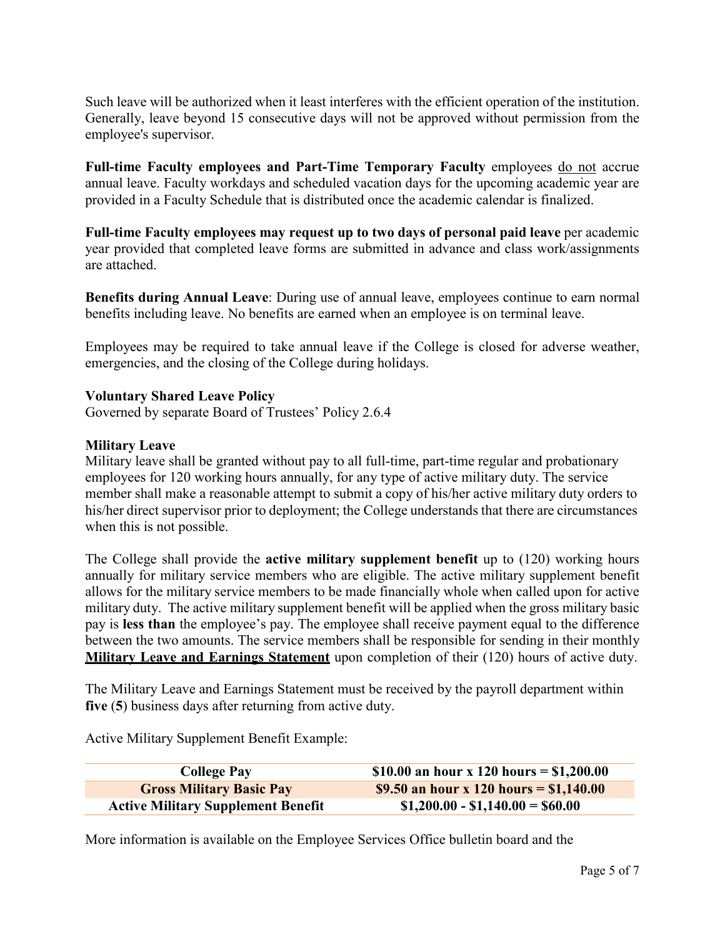Such leave will be authorized when it least interferes with the efficient operation of the institution. Generally, leave beyond 15 consecutive days will not be approved without permission from the employee's supervisor.

**Full-time Faculty employees and Part-Time Temporary Faculty** employees do not accrue annual leave. Faculty workdays and scheduled vacation days for the upcoming academic year are provided in a Faculty Schedule that is distributed once the academic calendar is finalized.

Full-time Faculty employees may request up to two days of personal paid leave per academic year provided that completed leave forms are submitted in advance and class work/assignments are attached.

**Benefits during Annual Leave**: During use of annual leave, employees continue to earn normal benefits including leave. No benefits are earned when an employee is on terminal leave.

Employees may be required to take annual leave if the College is closed for adverse weather, emergencies, and the closing of the College during holidays.

# **Voluntary Shared Leave Policy**

Governed by separate Board of Trustees' Policy 2.6.4

#### **Military Leave**

Military leave shall be granted without pay to all full-time, part-time regular and probationary employees for 120 working hours annually, for any type of active military duty. The service member shall make a reasonable attempt to submit a copy of his/her active military duty orders to his/her direct supervisor prior to deployment; the College understands that there are circumstances when this is not possible.

The College shall provide the **active military supplement benefit** up to (120) working hours annually for military service members who are eligible. The active military supplement benefit allows for the military service members to be made financially whole when called upon for active military duty. The active military supplement benefit will be applied when the gross military basic pay is **less than** the employee's pay. The employee shall receive payment equal to the difference between the two amounts. The service members shall be responsible for sending in their monthly **Military Leave and Earnings Statement** upon completion of their (120) hours of active duty.

The Military Leave and Earnings Statement must be received by the payroll department within **five** (**5**) business days after returning from active duty.

Active Military Supplement Benefit Example:

| <b>College Pay</b>                        | \$10.00 an hour x 120 hours = \$1,200.00 |
|-------------------------------------------|------------------------------------------|
| <b>Gross Military Basic Pay</b>           | \$9.50 an hour x 120 hours = \$1,140.00  |
| <b>Active Military Supplement Benefit</b> | $$1,200.00 - $1,140.00 = $60.00$         |

More information is available on the Employee Services Office bulletin board and the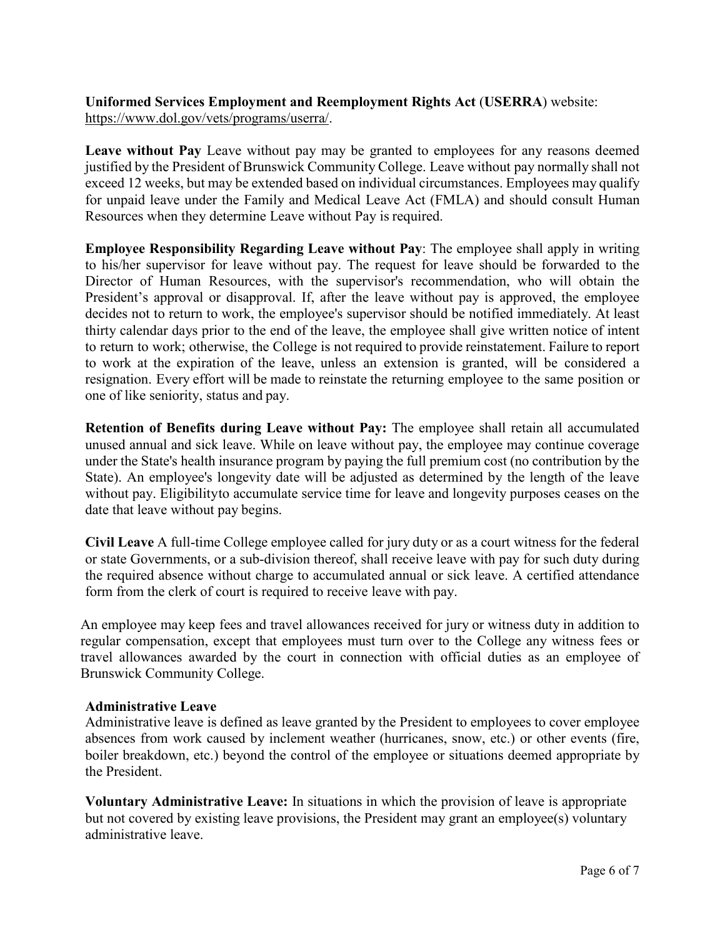### **Uniformed Services Employment and Reemployment Rights Act** (**USERRA**) website: [https://www.dol.gov/vets/programs/userra/.](https://www.dol.gov/vets/programs/userra/)

**Leave without Pay** Leave without pay may be granted to employees for any reasons deemed justified by the President of Brunswick Community College. Leave without pay normally shall not exceed 12 weeks, but may be extended based on individual circumstances. Employees may qualify for unpaid leave under the Family and Medical Leave Act (FMLA) and should consult Human Resources when they determine Leave without Pay is required.

**Employee Responsibility Regarding Leave without Pay**: The employee shall apply in writing to his/her supervisor for leave without pay. The request for leave should be forwarded to the Director of Human Resources, with the supervisor's recommendation, who will obtain the President's approval or disapproval. If, after the leave without pay is approved, the employee decides not to return to work, the employee's supervisor should be notified immediately. At least thirty calendar days prior to the end of the leave, the employee shall give written notice of intent to return to work; otherwise, the College is not required to provide reinstatement. Failure to report to work at the expiration of the leave, unless an extension is granted, will be considered a resignation. Every effort will be made to reinstate the returning employee to the same position or one of like seniority, status and pay.

**Retention of Benefits during Leave without Pay:** The employee shall retain all accumulated unused annual and sick leave. While on leave without pay, the employee may continue coverage under the State's health insurance program by paying the full premium cost (no contribution by the State). An employee's longevity date will be adjusted as determined by the length of the leave without pay. Eligibilityto accumulate service time for leave and longevity purposes ceases on the date that leave without pay begins.

**Civil Leave** A full-time College employee called for jury duty or as a court witness for the federal or state Governments, or a sub-division thereof, shall receive leave with pay for such duty during the required absence without charge to accumulated annual or sick leave. A certified attendance form from the clerk of court is required to receive leave with pay.

An employee may keep fees and travel allowances received for jury or witness duty in addition to regular compensation, except that employees must turn over to the College any witness fees or travel allowances awarded by the court in connection with official duties as an employee of Brunswick Community College.

#### **Administrative Leave**

Administrative leave is defined as leave granted by the President to employees to cover employee absences from work caused by inclement weather (hurricanes, snow, etc.) or other events (fire, boiler breakdown, etc.) beyond the control of the employee or situations deemed appropriate by the President.

**Voluntary Administrative Leave:** In situations in which the provision of leave is appropriate but not covered by existing leave provisions, the President may grant an employee(s) voluntary administrative leave.